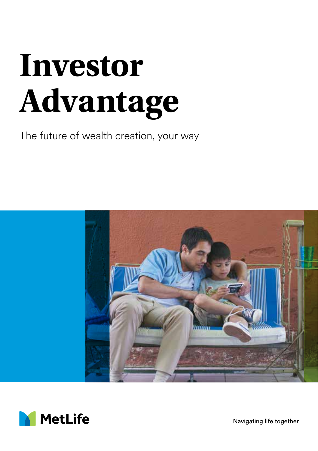# **Investor Advantage**

The future of wealth creation, your way





Navigating life together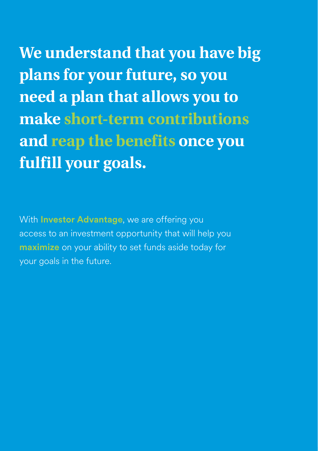**We understand that you have big plans for your future, so you need a plan that allows you to make short-term contributions and reap the benefits once you fulfill your goals.**

With **Investor Advantage**, we are offering you access to an investment opportunity that will help you **maximize** on your ability to set funds aside today for your goals in the future.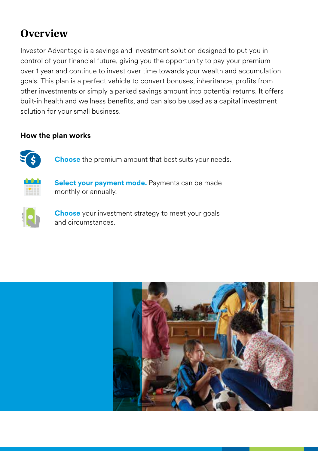## **Overview**

Investor Advantage is a savings and investment solution designed to put you in control of your financial future, giving you the opportunity to pay your premium over 1 year and continue to invest over time towards your wealth and accumulation goals. This plan is a perfect vehicle to convert bonuses, inheritance, profits from other investments or simply a parked savings amount into potential returns. It offers built-in health and wellness benefits, and can also be used as a capital investment solution for your small business.

#### **How the plan works**

**Choose** the premium amount that best suits your needs.



**Select your payment mode.** Payments can be made monthly or annually.



**Choose** your investment strategy to meet your goals and circumstances.

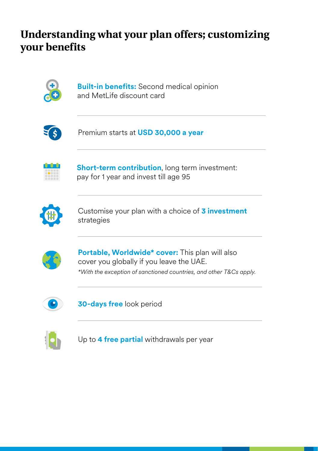## **Understanding what your plan offers; customizing your benefits**



**Built-in benefits:** Second medical opinion and MetLife discount card



Premium starts at **USD 30,000 a year**



**Short-term contribution**, long term investment: pay for 1 year and invest till age 95



Customise your plan with a choice of **3 investment** strategies



**Portable, Worldwide\* cover:** This plan will also cover you globally if you leave the UAE. *\*With the exception of sanctioned countries, and other T&Cs apply.*



**30-days free** look period



Up to **4 free partial** withdrawals per year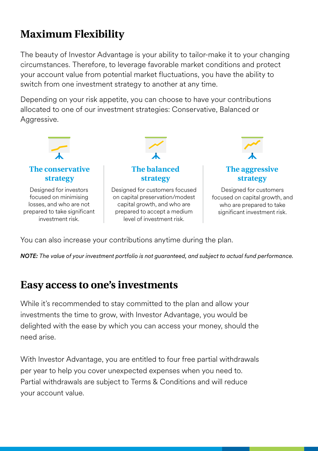# **Maximum Flexibility**

The beauty of Investor Advantage is your ability to tailor-make it to your changing circumstances. Therefore, to leverage favorable market conditions and protect your account value from potential market fluctuations, you have the ability to switch from one investment strategy to another at any time.

Depending on your risk appetite, you can choose to have your contributions allocated to one of our investment strategies: Conservative, Balanced or Aggressive.



You can also increase your contributions anytime during the plan.

*NOTE: The value of your investment portfolio is not guaranteed, and subject to actual fund performance.*

## **Easy access to one's investments**

While it's recommended to stay committed to the plan and allow your investments the time to grow, with Investor Advantage, you would be delighted with the ease by which you can access your money, should the need arise.

With Investor Advantage, you are entitled to four free partial withdrawals per year to help you cover unexpected expenses when you need to. Partial withdrawals are subject to Terms & Conditions and will reduce your account value.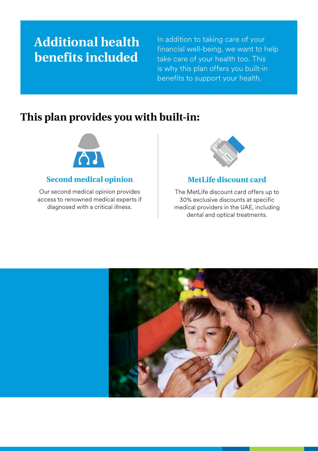# **Additional health benefits included**

In addition to taking care of your financial well-being, we want to help take care of your health too. This is why this plan offers you built-in benefits to support your health.

## **This plan provides you with built-in:**



#### **Second medical opinion**

Our second medical opinion provides access to renowned medical experts if diagnosed with a critical illness.



#### **MetLife discount card**

The MetLife discount card offers up to 30% exclusive discounts at specific medical providers in the UAE, including dental and optical treatments.

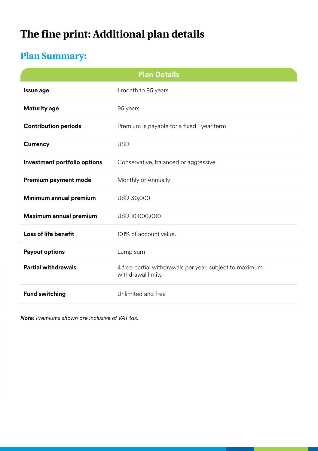# **The fine print: Additional plan details**

## **Plan Summary:**

|                              | <b>Plan Details</b>                                                          |
|------------------------------|------------------------------------------------------------------------------|
| Issue age                    | 1 month to 85 years                                                          |
| <b>Maturity age</b>          | 95 years                                                                     |
| <b>Contribution periods</b>  | Premium is payable for a fixed 1 year term                                   |
| Currency                     | <b>USD</b>                                                                   |
| Investment portfolio options | Conservative, balanced or aggressive                                         |
| Premium payment mode         | Monthly or Annually                                                          |
| Minimum annual premium       | USD 30,000                                                                   |
| Maximum annual premium       | USD 10,000,000                                                               |
| Loss of life benefit         | 101% of account value.                                                       |
| <b>Payout options</b>        | Lump sum                                                                     |
| <b>Partial withdrawals</b>   | 4 free partial withdrawals per year, subject to maximum<br>withdrawal limits |
| <b>Fund switching</b>        | Unlimited and free                                                           |

*Note: Premiums shown are inclusive of VAT tax.*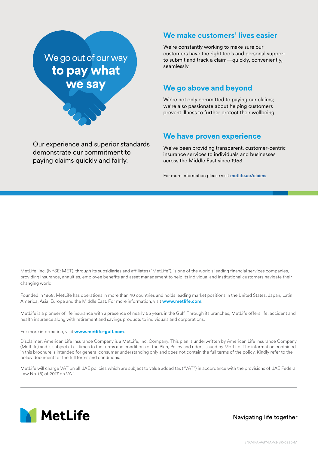

Our experience and superior standards demonstrate our commitment to paying claims quickly and fairly.

#### **We make customers' lives easier**

We're constantly working to make sure our customers have the right tools and personal support to submit and track a claim—quickly, conveniently, seamlessly.

#### **We go above and beyond**

We're not only committed to paying our claims; we're also passionate about helping customers prevent illness to further protect their wellbeing.

#### **We have proven experience**

We've been providing transparent, customer-centric insurance services to individuals and businesses across the Middle East since 1953.

For more information please visit [metlife.ae/claims](https://www.metlife.ae/claims/)

MetLife, Inc. (NYSE: MET), through its subsidiaries and affiliates ("MetLife"), is one of the world's leading financial services companies, providing insurance, annuities, employee benefits and asset management to help its individual and institutional customers navigate their changing world.

Founded in 1868, MetLife has operations in more than 40 countries and holds leading market positions in the United States, Japan, Latin America, Asia, Europe and the Middle East. For more information, visit **www.metlife.com**.

MetLife is a pioneer of life insurance with a presence of nearly 65 years in the Gulf. Through its branches, MetLife offers life, accident and health insurance along with retirement and savings products to individuals and corporations.

For more information, visit **www.metlife-gulf.com**.

Disclaimer: American Life Insurance Company is a MetLife, Inc. Company. This plan is underwritten by American Life Insurance Company (MetLife) and is subject at all times to the terms and conditions of the Plan, Policy and riders issued by MetLife. The information contained in this brochure is intended for general consumer understanding only and does not contain the full terms of the policy. Kindly refer to the policy document for the full terms and conditions.

MetLife will charge VAT on all UAE policies which are subject to value added tax ("VAT") in accordance with the provisions of UAE Federal Law No. (8) of 2017 on VAT.



Navigating life together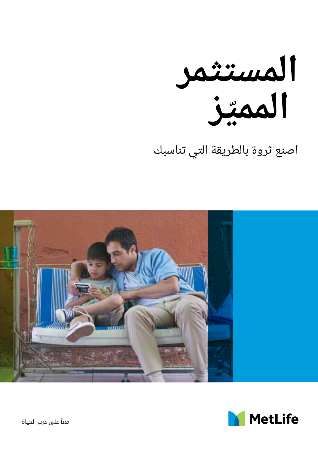

اصنع ثروة بالطريقة التي تناسبك





معاً على درب الحياة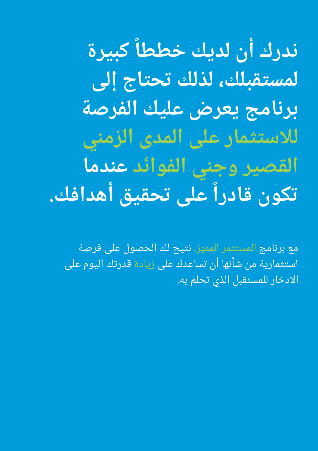**كبيرة ندرك أن لديك خططا ً لمستقبلك، لذلك تحتاج إلى برنامج يعرض عليك الفرصة لالستثمار على المدى الزمني القصير وجني الفوائد عندما ً على تحقيق أهدافك. تكون قادرا**

مع برنامج المستثمر المميّز، نتيح لك الحصول على فرصة استثمارية من شأنها أن تساعدك على زيادة قدرتك اليوم على االدخار للمستقبل الذي تحلم به.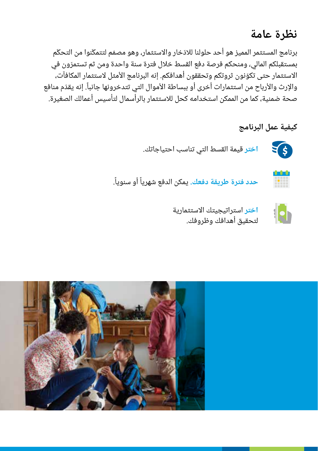## **نظرة عامة**

برنامج المستثمر المميز هو أحد حلولنا للادّخار والاستثمار، وهو مصمّم لتتمكّنوا من التحكّم ّ بمستقبلكم المالي، ومنحكم فرصة دفع القسط خالل فترة سنة واحدة ومن ثم تستمرون في الاستثمار حتى تكوّنون ثروتكم وتحققون أهدافكم. إنه البرنامج الأمثل لاستثمار المكافآت، ًوالإرث والأرباح من استثمارات اخرى او ببساطة الأموال التي تتدخرونها جانبا. إنه يقدّم منافع صحة ضمنية، كما من الممكن استخدامه كحل لالستثمار بالرأسمال لتأسيس أعمالك الصغيرة.

#### **كيفية عمل البرنامج**



tatat i <u>HM</u>

**اختر** قيمة القسط التي تناسب احتياجاتك.

**حدد فترة طريقة دفعك. يمكن الدفع شهرياً أو سنوياً.** ً



ا**ختر** استراتيجيتك الاستثمارية لتحقيق أهدافك وظروفك.

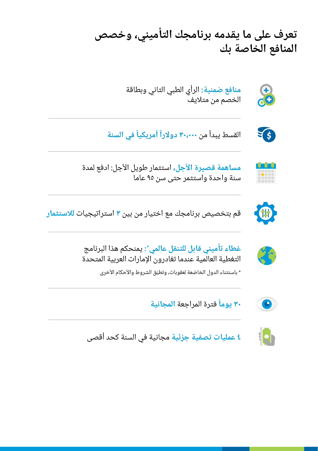**تعرف على ما يقدمه برنامجك التأميني، وخصص المنافع الخاصة بك**



**منافع ضمنية:** الرأي الطبي الثاني وبطاقة الخصم من متاليف

القسط يبدأ من **٣٠،٠٠٠ دولاراً أمريكياً في السنة** 





**مساهمة قصيرة األجل،** استثمار طويل األجل: ادفع لمدة سنة واحدة واستثمر حتى سن 95 عاما



قم بتخصيص برنامجك مع اختيار من بين **3** استراتيجيات **لالستثمار**



Y.

**:** يمنحكم هذا البرنامج **غطاء تأميني قابل للتنقل عالمي\*** التغطية العالمية عندما تغادرون اإلمارات العربية المتحدة

\* باستثناء الدول الخاضعة لعقوبات، وتطبّق الشروط والأحكام الأخرى



**ً** فترة المراجعة **المجانية 30 يوما**



**4 عمليات تصفية جزئية** مجانية في السنة كحد أقصى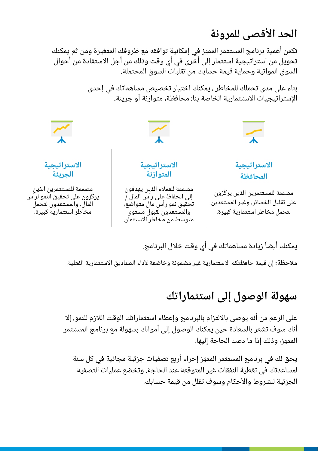## **الحد األقصى للمرونة**

ّ تكمن أهمية برنامج المستثمر المميز في إمكانية توافقه مع ظروفك المتغيرة ومن ثم يمكنك تحويل من استراتيجية استثمار إلى أخرى في أي وقت وذلك من أجل االستفادة من أحوال السوق المواتية وحماية قيمة حسابك من تقلبات السوق المحتملة.

> بناء على مدى تحملك للمخاطر ، يمكنك اختيار تخصيص مساهماتك في إحدى الإستراتيجيات الاستثمارية الخاصة بنا: محافظة، متوازنة أو جريئة.



يمكنك أيضاً زيادة مساهماتك في أي وقت خلال البرنامج.

**مالحظة:** إن قيمة حافظتكم االستثمارية غير مضمونة وخاضعة ألداء الصناديق االستثمارية الفعلية.

## **سهولة الوصول إلى استثماراتك**

على الرغم من أنه يوصى بااللتزام بالبرنامج وإعطاء استثماراتك الوقت الالزم للنمو، إال أنك سوف تشعر بالسعادة حين يمكنك الوصول إلى أموالك بسهولة مع برنامج المستثمر ّ المميز، وذلك إذا ما دعت الحاجة إليها.

ّ يحق لك في برنامج المستثمر المميز إجراء أربع تصفيات جزئية مجانية في كل سنة لمساعدتك في تغطية النفقات غير المتوقعة عند الحاجة. وتخضع عمليات التصفية الجزئية للشروط واألحكام وسوف تقلل من قيمة حسابك.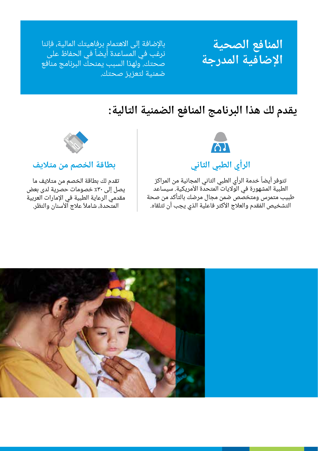# **المنافع الصحية اإلضافية المدرجة**

باإلضافة إلى االهتمام برفاهيتك المالية، فإننا نرغب في المساعدة أيضاً في الحفاظ على صحتك. ولهذا السبب يمنحك البرنامج منافع ضمنية لتعزيز صحتك.

## **يقدم لك هذا البرنامج المنافع الضمنية التالية:**



### **الرأي الطبي الثاني**

تتوفر أيضاً خدمة الرأي الطبي الثاني المجانية من المراكز الطبية المشهورة في الولايات المتحدة الأمريكية. سيساعد طبيب متمرس ومتخصص ضمن مجال مرضك بالتأكد من صحة التشخيص المُقدم والعلاج الأكثر فاعلية الذي يجب أن تتلقاه.



#### **بطاقة الخصم من متاليف**

تقدم لك بطاقة الخصم من متاليف ما يصل إلى %30 خصومات حصرية لدى بعض مقدمي الرعاية الطبية في اإلمارات العربية المتحدة، شاملاً علاج الأسنان والنظر.

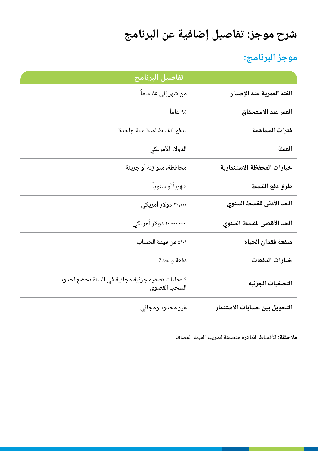# **شرح موجز: تفاصيل إضافية عن البرنامج**

## **موجز البرنامج:**

|                              | تفاصيل البرنامج                                                 |
|------------------------------|-----------------------------------------------------------------|
| الفئة العمرية عند الإصدار    | من شهر إلى ٨٥ عاماً                                             |
| العمر عند الاستحقاق          | ۹۵ عاماً                                                        |
| فترات المساهمة               | يدفع القسط لمدة سنة واحدة                                       |
| العملة                       | الدولار الأمريكي                                                |
| خيارات المحفظة الاستثمارية   | محافظة، متوازنة أو جريئة                                        |
| طرق دفع القسط                | شهرياً أو سنوياً                                                |
| الحد الأدنى للقسط السنوي     | ۳۰،۰۰۰ دولار أمريکي                                             |
| الحد الأقصى للقسط السنوي     | ۱۰،۰۰۰،۰۰۰ دولار أمريکي                                         |
| منفعة فقدان الحياة           | ١٠١٪ من قيمة الحساب                                             |
| خيارات الدفعات               | دفعة واحدة                                                      |
| التصفيات الجزئية             | ٤ عمليات تصفية جزئية مجانية في السنة تخضع لحدود<br>السحب القصوى |
| التحويل بين حسابات الاستثمار | غير محدود ومجاني                                                |

**مالحظة:** األقساط الظاهرة متضمنة لضريبة القيمة المضافة.